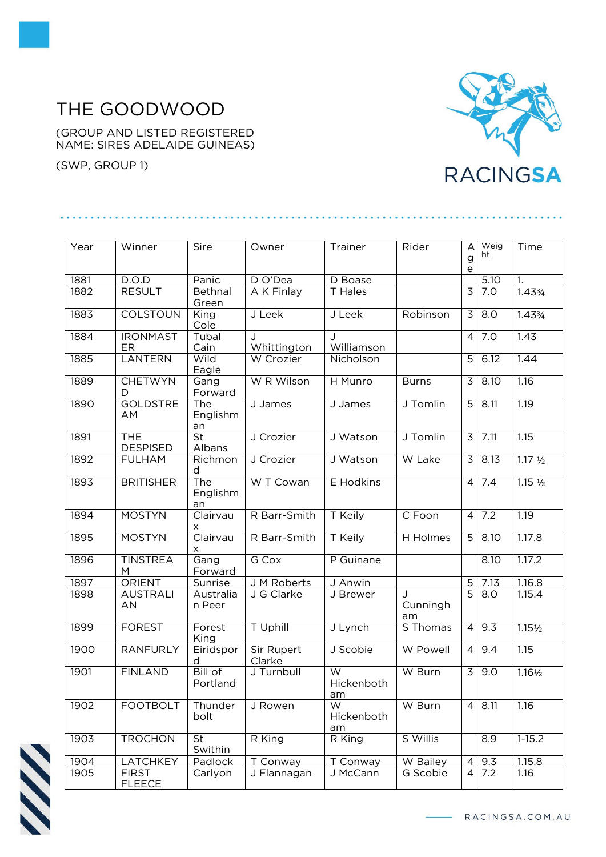## THE GOODWOOD

(GROUP AND LISTED REGISTERED NAME: SIRES ADELAIDE GUINEAS)

. . . . . . . . . . . . .

(SWP, GROUP 1)



| Year | Winner                        | Sire                               | Owner                       | Trainer               | Rider               | A                                               | Weig             | Time               |
|------|-------------------------------|------------------------------------|-----------------------------|-----------------------|---------------------|-------------------------------------------------|------------------|--------------------|
|      |                               |                                    |                             |                       |                     | g<br>$\mathsf{e}% _{t}\left( \mathsf{e}\right)$ | ht               |                    |
| 1881 | D.O.D                         | Panic                              | D O'Dea                     | D Boase               |                     |                                                 | 5.10             | 1.                 |
| 1882 | <b>RESULT</b>                 | Bethnal<br>Green                   | A K Finlay                  | T Hales               |                     | $\overline{3}$                                  | 7.0              | 1.433/4            |
| 1883 | <b>COLSTOUN</b>               | King<br>Cole                       | J Leek                      | J Leek                | Robinson            | 3                                               | $\overline{8.0}$ | 1.433/4            |
| 1884 | <b>IRONMAST</b><br>ER         | Tubal<br>Cain                      | Whittington                 | J<br>Williamson       |                     | $\overline{4}$                                  | 7.0              | 1.43               |
| 1885 | <b>LANTERN</b>                | Wild<br>Eagle                      | W Crozier                   | Nicholson             |                     | 5                                               | 6.12             | 1.44               |
| 1889 | <b>CHETWYN</b><br>D           | Gang<br>Forward                    | W R Wilson                  | H Munro               | <b>Burns</b>        | 3                                               | 8.10             | 1.16               |
| 1890 | <b>GOLDSTRE</b><br>AM         | The<br>Englishm<br>an              | J James                     | J James               | J Tomlin            | $\overline{5}$                                  | 8.11             | 1.19               |
| 1891 | <b>THE</b><br><b>DESPISED</b> | $\overline{\mathsf{St}}$<br>Albans | J Crozier                   | J Watson              | J Tomlin            | 3                                               | 7.11             | 1.15               |
| 1892 | <b>FULHAM</b>                 | Richmon<br>d                       | J Crozier                   | J Watson              | W Lake              | 3                                               | 8.13             | $1.17 \frac{1}{2}$ |
| 1893 | <b>BRITISHER</b>              | The<br>Englishm<br>an              | W T Cowan                   | E Hodkins             |                     | $\overline{4}$                                  | 7.4              | $1.15\frac{1}{2}$  |
| 1894 | <b>MOSTYN</b>                 | Clairvau<br>X                      | R Barr-Smith                | T Keily               | C Foon              | $\overline{4}$                                  | 7.2              | 1.19               |
| 1895 | <b>MOSTYN</b>                 | Clairvau<br>X                      | R Barr-Smith                | T Keily               | H Holmes            | 5                                               | 8.10             | 1.17.8             |
| 1896 | <b>TINSTREA</b><br>M          | Gang<br>Forward                    | G Cox                       | P Guinane             |                     |                                                 | 8.10             | 1.17.2             |
| 1897 | ORIENT                        | Sunrise                            | J M Roberts                 | J Anwin               |                     | $\overline{5}$                                  | 7.13             | 1.16.8             |
| 1898 | <b>AUSTRALI</b><br>AN         | Australia<br>n Peer                | J G Clarke                  | J Brewer              | J<br>Cunningh<br>am | $\overline{5}$                                  | 8.0              | 1.15.4             |
| 1899 | <b>FOREST</b>                 | Forest<br>King                     | T Uphill                    | J Lynch               | S Thomas            | $\overline{4}$                                  | 9.3              | $1.15\frac{1}{2}$  |
| 1900 | <b>RANFURLY</b>               | Eiridspor<br>d                     | <b>Sir Rupert</b><br>Clarke | J Scobie              | W Powell            | $\overline{4}$                                  | 9.4              | 1.15               |
| 1901 | <b>FINLAND</b>                | <b>Bill of</b><br>Portland         | J Turnbull                  | W<br>Hickenboth<br>am | W Burn              | $\overline{3}$                                  | 9.0              | $1.16\frac{1}{2}$  |
| 1902 | <b>FOOTBOLT</b>               | Thunder<br>bolt                    | J Rowen                     | W<br>Hickenboth<br>am | W Burn              | $\overline{4}$                                  | 8.11             | 1.16               |
| 1903 | <b>TROCHON</b>                | St<br>Swithin                      | R King                      | R King                | S Willis            |                                                 | 8.9              | $1 - 15.2$         |
| 1904 | LATCHKEY                      | Padlock                            | T Conway                    | T Conway              | W Bailey            | 4                                               | 9.3              | 1.15.8             |
| 1905 | <b>FIRST</b><br><b>FLEECE</b> | Carlyon                            | J Flannagan                 | J McCann              | G Scobie            | $\overline{4}$                                  | 7.2              | 1.16               |



RACINGSA.COM.AU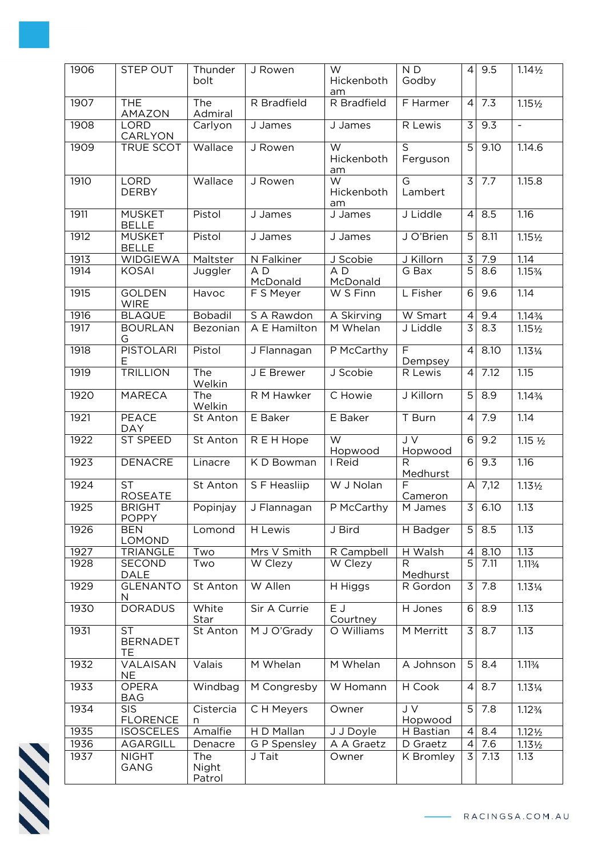| 1906 | STEP OUT                                  | Thunder<br>bolt               | J Rowen                    | W<br>Hickenboth<br>am                       | ND<br>Godby                         | $\vert$        | 9.5  | $1.14\frac{1}{2}$  |
|------|-------------------------------------------|-------------------------------|----------------------------|---------------------------------------------|-------------------------------------|----------------|------|--------------------|
| 1907 | <b>THE</b><br>AMAZON                      | The<br>Admiral                | R Bradfield                | R Bradfield                                 | F Harmer                            | $\vert$        | 7.3  | $1.15\frac{1}{2}$  |
| 1908 | <b>LORD</b><br>CARLYON                    | Carlyon                       | J James                    | J James                                     | R Lewis                             | 3              | 9.3  | $\blacksquare$     |
| 1909 | <b>TRUE SCOT</b>                          | Wallace                       | J Rowen                    | $\overline{\mathsf{W}}$<br>Hickenboth<br>am | $\overline{\mathsf{s}}$<br>Ferguson | $\overline{5}$ | 9.10 | 1.14.6             |
| 1910 | <b>LORD</b><br><b>DERBY</b>               | Wallace                       | J Rowen                    | W<br>Hickenboth<br>am                       | G<br>Lambert                        | 3              | 7.7  | 1.15.8             |
| 1911 | <b>MUSKET</b><br><b>BELLE</b>             | Pistol                        | J James                    | J James                                     | J Liddle                            | $\overline{4}$ | 8.5  | 1.16               |
| 1912 | <b>MUSKET</b><br><b>BELLE</b>             | Pistol                        | J James                    | J James                                     | J O'Brien                           | 5              | 8.11 | $1.15\frac{1}{2}$  |
| 1913 | <b>WIDGIEWA</b>                           | Maltster                      | N Falkiner                 | J Scobie                                    | J Killorn                           | $\mathsf 3$    | 7.9  | 1.14               |
| 1914 | <b>KOSAI</b>                              | Juggler                       | A <sub>D</sub><br>McDonald | AD<br>McDonald                              | G Bax                               | $\overline{5}$ | 8.6  | 1.153/4            |
| 1915 | <b>GOLDEN</b><br><b>WIRE</b>              | Havoc                         | F S Meyer                  | W S Finn                                    | L Fisher                            | 6              | 9.6  | 1.14               |
| 1916 | <b>BLAQUE</b>                             | <b>Bobadil</b>                | S A Rawdon                 | A Skirving                                  | W Smart                             | $\overline{4}$ | 9.4  | $1.14\frac{3}{4}$  |
| 1917 | <b>BOURLAN</b><br>G                       | Bezonian                      | A E Hamilton               | M Whelan                                    | J Liddle                            | 3              | 8.3  | $1.15\frac{1}{2}$  |
| 1918 | <b>PISTOLARI</b><br>Е                     | Pistol                        | J Flannagan                | P McCarthy                                  | $\overline{\mathsf{F}}$<br>Dempsey  | $\overline{4}$ | 8.10 | $1.13\frac{1}{4}$  |
| 1919 | <b>TRILLION</b>                           | The<br>Welkin                 | J E Brewer                 | J Scobie                                    | R Lewis                             | $\overline{4}$ | 7.12 | 1.15               |
| 1920 | <b>MARECA</b>                             | The<br>Welkin                 | R M Hawker                 | C Howie                                     | J Killorn                           | 5              | 8.9  | $1.14\frac{3}{4}$  |
| 1921 | PEACE<br><b>DAY</b>                       | St Anton                      | E Baker                    | E Baker                                     | T Burn                              | $\overline{4}$ | 7.9  | 1.14               |
| 1922 | ST SPEED                                  | St Anton                      | R E H Hope                 | $\overline{\mathsf{W}}$<br>Hopwood          | JV<br>Hopwood                       | $\overline{6}$ | 9.2  | $1.15 \frac{1}{2}$ |
| 1923 | <b>DENACRE</b>                            | Linacre                       | K D Bowman                 | I Reid                                      | R<br>Medhurst                       | 6              | 9.3  | 1.16               |
| 1924 | <b>ST</b><br><b>ROSEATE</b>               | St Anton                      | S F Heasliip               | W J Nolan                                   | F<br>Cameron                        | A              | 7,12 | $1.13\frac{1}{2}$  |
| 1925 | <b>BRIGHT</b><br><b>POPPY</b>             | Popinjay                      | J Flannagan                | P McCarthy                                  | M James                             | لحا            | 6.10 | 1.13               |
| 1926 | <b>BEN</b><br>LOMOND                      | Lomond                        | H Lewis                    | J Bird                                      | H Badger                            | 5              | 8.5  | 1.13               |
| 1927 | <b>TRIANGLE</b>                           | Two                           | Mrs V Smith                | R Campbell                                  | H Walsh                             | 4              | 8.10 | 1.13               |
| 1928 | SECOND<br><b>DALE</b>                     | Two                           | W Clezy                    | W Clezy                                     | R<br>Medhurst                       | $\overline{5}$ | 7.11 | 1.113/4            |
| 1929 | <b>GLENANTO</b><br>N                      | St Anton                      | W Allen                    | H Higgs                                     | R Gordon                            | 3              | 7.8  | 1.131/4            |
| 1930 | <b>DORADUS</b>                            | White<br>Star                 | Sir A Currie               | E J<br>Courtney                             | H Jones                             | 6              | 8.9  | 1.13               |
| 1931 | <b>ST</b><br><b>BERNADET</b><br><b>TE</b> | St Anton                      | M J O'Grady                | O Williams                                  | M Merritt                           | 3              | 8.7  | 1.13               |
| 1932 | VALAISAN<br><b>NE</b>                     | Valais                        | M Whelan                   | M Whelan                                    | A Johnson                           | 5              | 8.4  | 1.113/4            |
| 1933 | <b>OPERA</b><br>BAG                       | Windbag                       | M Congresby                | W Homann                                    | H Cook                              | $\overline{4}$ | 8.7  | 1.131/4            |
| 1934 | <b>SIS</b><br><b>FLORENCE</b>             | Cistercia<br>n                | CH Meyers                  | Owner                                       | J V<br>Hopwood                      | 5              | 7.8  | $1.12\frac{3}{4}$  |
| 1935 | <b>ISOSCELES</b>                          | Amalfie                       | H D Mallan                 | J J Doyle                                   | H Bastian                           | $\overline{4}$ | 8.4  | $1.12\frac{1}{2}$  |
| 1936 | AGARGILL                                  | Denacre                       | G P Spensley               | A A Graetz                                  | D Graetz                            | $\overline{4}$ | 7.6  | $1.13\frac{1}{2}$  |
| 1937 | <b>NIGHT</b><br>GANG                      | <b>The</b><br>Night<br>Patrol | J Tait                     | Owner                                       | K Bromley                           | 3              | 7.13 | 1.13               |



RACINGSA.COM.AU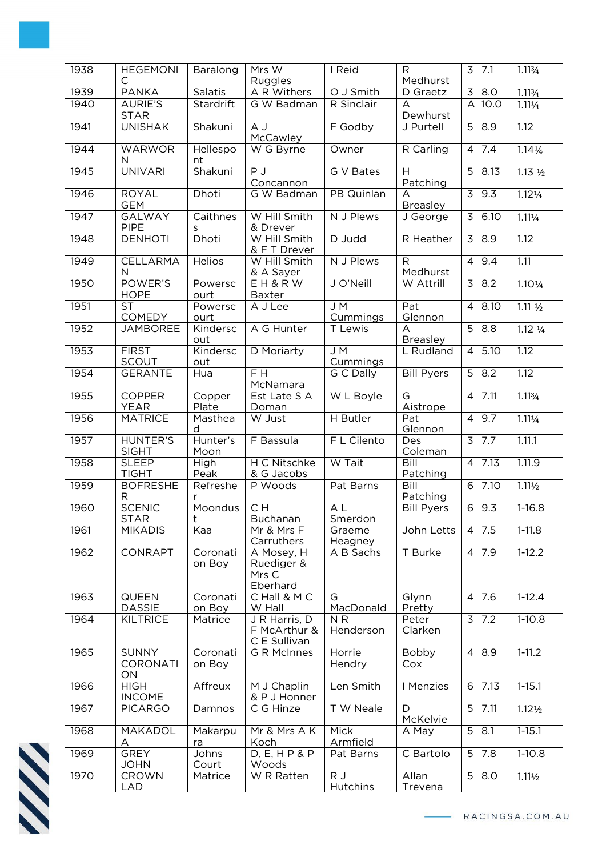| 1938 | <b>HEGEMONI</b>                       | Baralong           | Mrs W                                         | I Reid                      | R.                                         | 3              | 7.1               | 1.113/4            |
|------|---------------------------------------|--------------------|-----------------------------------------------|-----------------------------|--------------------------------------------|----------------|-------------------|--------------------|
| 1939 | С<br><b>PANKA</b>                     | <b>Salatis</b>     | Ruggles<br>A R Withers                        | O J Smith                   | Medhurst<br>D Graetz                       | لحا            | $\overline{8.0}$  | 1.113/4            |
| 1940 | <b>AURIE'S</b><br><b>STAR</b>         | Stardrift          | G W Badman                                    | R Sinclair                  | A<br>Dewhurst                              | $\overline{A}$ | 10.0              | $1.11\frac{1}{4}$  |
| 1941 | <b>UNISHAK</b>                        | Shakuni            | A J<br>McCawley                               | F Godby                     | J Purtell                                  | $\overline{5}$ | 8.9               | 1.12               |
| 1944 | <b>WARWOR</b><br>N                    | Hellespo<br>nt     | W G Byrne                                     | Owner                       | R Carling                                  | $\overline{4}$ | 7.4               | $1.14\frac{1}{4}$  |
| 1945 | <b>UNIVARI</b>                        | Shakuni            | PJ<br>Concannon                               | G V Bates                   | H<br>Patching                              | $\overline{5}$ | 8.13              | $1.13 \frac{1}{2}$ |
| 1946 | <b>ROYAL</b><br><b>GEM</b>            | Dhoti              | G W Badman                                    | PB Quinlan                  | A<br><b>Breasley</b>                       | $\overline{3}$ | 9.3               | $1.12\frac{1}{4}$  |
| 1947 | <b>GALWAY</b><br><b>PIPE</b>          | Caithnes<br>s      | W Hill Smith<br>& Drever                      | N J Plews                   | J George                                   | 3              | 6.10              | $1.11\frac{1}{4}$  |
| 1948 | <b>DENHOTI</b>                        | Dhoti              | W Hill Smith<br>& F T Drever                  | D Judd                      | R Heather                                  | $\overline{3}$ | $\overline{8.9}$  | 1.12               |
| 1949 | CELLARMA<br>N                         | <b>Helios</b>      | W Hill Smith<br>& A Sayer                     | N J Plews                   | $\overline{R}$<br>Medhurst                 | $\overline{4}$ | 9.4               | 1.11               |
| 1950 | POWER'S<br><b>HOPE</b>                | Powersc<br>ourt    | EH&RW<br>Baxter                               | J O'Neill                   | W Attrill                                  | 3              | 8.2               | $1.10\frac{1}{4}$  |
| 1951 | <b>ST</b><br>COMEDY                   | Powersc<br>ourt    | A J Lee                                       | J M<br>Cummings             | Pat<br>Glennon                             | $\overline{4}$ | 8.10              | $1.11 \frac{1}{2}$ |
| 1952 | <b>JAMBOREE</b>                       | Kindersc<br>out    | A G Hunter                                    | T Lewis                     | $\overline{\mathsf{A}}$<br><b>Breasley</b> | $\overline{5}$ | 8.8               | $1.12 \frac{1}{4}$ |
| 1953 | <b>FIRST</b><br><b>SCOUT</b>          | Kindersc<br>out    | D Moriarty                                    | J M<br>Cummings             | L Rudland                                  | $\overline{4}$ | $\overline{5.10}$ | 1.12               |
| 1954 | <b>GERANTE</b>                        | Hua                | $F$ H<br>McNamara                             | G C Dally                   | <b>Bill Pyers</b>                          | $\overline{5}$ | 8.2               | $\overline{1.12}$  |
| 1955 | <b>COPPER</b><br><b>YEAR</b>          | Copper<br>Plate    | Est Late S A<br>Doman                         | W L Boyle                   | $\overline{\mathsf{G}}$<br>Aistrope        | $\overline{4}$ | 7.11              | 1.113/4            |
| 1956 | <b>MATRICE</b>                        | Masthea<br>d       | W Just                                        | H Butler                    | Pat<br>Glennon                             | $\overline{4}$ | 9.7               | $1.11\frac{1}{4}$  |
| 1957 | <b>HUNTER'S</b><br><b>SIGHT</b>       | Hunter's<br>Moon   | F Bassula                                     | F L Cilento                 | Des<br>Coleman                             | $\overline{3}$ | 7.7               | 1.11.1             |
| 1958 | <b>SLEEP</b><br><b>TIGHT</b>          | High<br>Peak       | H C Nitschke<br>& G Jacobs                    | W Tait                      | Bill<br>Patching                           | $\overline{4}$ | 7.13              | 1.11.9             |
| 1959 | <b>BOFRESHE</b><br>R                  | Refreshe<br>r      | P Woods                                       | Pat Barns                   | Bill<br>Patching                           | 6              | 7.10              | $1.11\frac{1}{2}$  |
| 1960 | <b>SCENIC</b><br><b>STAR</b>          | Moondus<br>t       | CH<br>Buchanan                                | $\overline{AL}$<br>Smerdon  | <b>Bill Pyers</b>                          | 6              | 9.3               | $1-16.8$           |
| 1961 | <b>MIKADIS</b>                        | Kaa                | Mr & Mrs F<br>Carruthers                      | Graeme<br>Heagney           | John Letts                                 | $\overline{4}$ | 7.5               | $1-11.8$           |
| 1962 | <b>CONRAPT</b>                        | Coronati<br>on Boy | A Mosey, H<br>Ruediger &<br>Mrs C<br>Eberhard | A B Sachs                   | T Burke                                    | $\overline{4}$ | 7.9               | $1-12.2$           |
| 1963 | <b>QUEEN</b><br><b>DASSIE</b>         | Coronati<br>on Boy | C Hall & M C<br>W Hall                        | G<br>MacDonald              | Glynn<br>Pretty                            | $\overline{4}$ | 7.6               | $1-12.4$           |
| 1964 | <b>KILTRICE</b>                       | Matrice            | J R Harris, D<br>F McArthur &<br>C E Sullivan | N <sub>R</sub><br>Henderson | Peter<br>Clarken                           | 3              | 7.2               | $1-10.8$           |
| 1965 | <b>SUNNY</b><br><b>CORONATI</b><br>ON | Coronati<br>on Boy | <b>G R McInnes</b>                            | Horrie<br>Hendry            | Bobby<br>Cox                               | $\overline{4}$ | 8.9               | $1 - 11.2$         |
| 1966 | <b>HIGH</b><br><b>INCOME</b>          | Affreux            | M J Chaplin<br>& P J Honner                   | Len Smith                   | I Menzies                                  | 6              | 7.13              | $1 - 15.1$         |
| 1967 | <b>PICARGO</b>                        | Damnos             | $\overline{C}$ G Hinze                        | <b>TW</b> Neale             | D<br>McKelvie                              | $\overline{5}$ | 7.11              | $1.12\frac{1}{2}$  |
| 1968 | MAKADOL<br>Α                          | Makarpu<br>ra      | Mr & Mrs A K<br>Koch                          | Mick<br>Armfield            | A May                                      | 5              | 8.1               | $1 - 15.1$         |
| 1969 | <b>GREY</b><br><b>JOHN</b>            | Johns<br>Court     | D, E, H P & P<br>Woods                        | Pat Barns                   | C Bartolo                                  | 5              | 7.8               | $1-10.8$           |
| 1970 | CROWN<br><b>LAD</b>                   | Matrice            | W R Ratten                                    | RJ<br>Hutchins              | Allan<br>Trevena                           | $5\phantom{.}$ | 8.0               | $1.11\frac{1}{2}$  |

**SSS**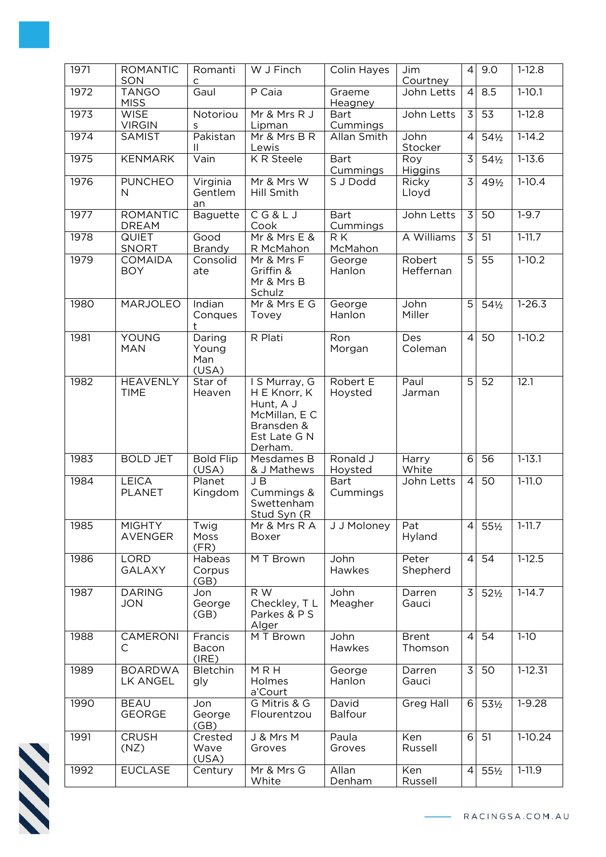| 1971 | <b>ROMANTIC</b><br>SON          | Romanti<br>$\mathsf{C}$         | W J Finch                                                                                            | Colin Hayes                    | Jim<br>Courtney         | $\overline{4}$ | 9.0             | $1-12.8$    |
|------|---------------------------------|---------------------------------|------------------------------------------------------------------------------------------------------|--------------------------------|-------------------------|----------------|-----------------|-------------|
| 1972 | <b>TANGO</b><br><b>MISS</b>     | Gaul                            | P Caia                                                                                               | Graeme<br>Heagney              | John Letts              | $\vert$        | 8.5             | $1-10.1$    |
| 1973 | <b>WISE</b><br><b>VIRGIN</b>    | Notoriou<br>S                   | Mr & Mrs R J<br>Lipman                                                                               | <b>Bart</b><br>Cummings        | John Letts              | $\overline{3}$ | $\overline{53}$ | $1-12.8$    |
| 1974 | SAMIST                          | Pakistan<br>Ш                   | Mr & Mrs B R<br>Lewis                                                                                | Allan Smith                    | John<br>Stocker         | $\overline{4}$ | 54½             | $1-14.2$    |
| 1975 | <b>KENMARK</b>                  | Vain                            | K R Steele                                                                                           | <b>Bart</b><br><b>Cummings</b> | Roy<br>Higgins          | $\overline{3}$ | $54\frac{1}{2}$ | $1 - 13.6$  |
| 1976 | <b>PUNCHEO</b><br>N.            | Virginia<br>Gentlem<br>an       | Mr & Mrs W<br>Hill Smith                                                                             | S J Dodd                       | Ricky<br>Lloyd          | $\overline{3}$ | 491/2           | $1-10.4$    |
| 1977 | <b>ROMANTIC</b><br><b>DREAM</b> | <b>Baguette</b>                 | CG&LJ<br>Cook                                                                                        | <b>Bart</b><br>Cummings        | John Letts              | 3              | 50              | $1 - 9.7$   |
| 1978 | <b>QUIET</b><br><b>SNORT</b>    | Good<br>Brandy                  | Mr & Mrs E &<br>R McMahon                                                                            | $R\overline{K}$<br>McMahon     | A Williams              | $\overline{3}$ | 51              | $1 - 11.7$  |
| 1979 | <b>COMAIDA</b><br><b>BOY</b>    | Consolid<br>ate                 | Mr & Mrs F<br>Griffin &<br>Mr & Mrs B<br>Schulz                                                      | George<br>Hanlon               | Robert<br>Heffernan     | $\overline{5}$ | 55              | $1-10.2$    |
| 1980 | <b>MARJOLEO</b>                 | Indian<br>Conques<br>t          | Mr & Mrs E G<br>Tovey                                                                                | George<br>Hanlon               | John<br>Miller          | 5              | $54\frac{1}{2}$ | $1 - 26.3$  |
| 1981 | YOUNG<br><b>MAN</b>             | Daring<br>Young<br>Man<br>(USA) | R Plati                                                                                              | Ron<br>Morgan                  | Des<br>Coleman          | $\overline{4}$ | 50              | $1-10.2$    |
| 1982 | <b>HEAVENLY</b><br><b>TIME</b>  | Star of<br>Heaven               | I S Murray, G<br>H E Knorr, K<br>Hunt, A J<br>McMillan, E C<br>Bransden &<br>Est Late G N<br>Derham. | Robert E<br>Hoysted            | Paul<br>Jarman          | $\overline{5}$ | 52              | 12.1        |
| 1983 | <b>BOLD JET</b>                 | <b>Bold Flip</b><br>(USA)       | Mesdames B<br>& J Mathews                                                                            | Ronald J<br>Hoysted            | Harry<br>White          | 6              | $\overline{56}$ | $1 - 13.1$  |
| 1984 | <b>LEICA</b><br><b>PLANET</b>   | Planet<br>Kingdom               | JB<br>Cummings &<br>Swettenham<br>Stud Syn (R                                                        | <b>Bart</b><br>Cummings        | John Letts              | $\vert$        | 50              | $1 - 11.0$  |
| 1985 | <b>MIGHTY</b><br><b>AVENGER</b> | Twig<br>Moss<br>(FR)            | Mr & Mrs R A<br>Boxer                                                                                | J J Moloney                    | Pat<br>Hyland           | $\vert$        | 551/2           | $1 - 11.7$  |
| 1986 | <b>LORD</b><br><b>GALAXY</b>    | Habeas<br>Corpus<br>(GB)        | M T Brown                                                                                            | John<br>Hawkes                 | Peter<br>Shepherd       | $\overline{4}$ | 54              | $1-12.5$    |
| 1987 | <b>DARING</b><br><b>JON</b>     | Jon<br>George<br>(GB)           | R W<br>Checkley, TL<br>Parkes & P S<br>Alger                                                         | John<br>Meagher                | Darren<br>Gauci         | 3              | $52\frac{1}{2}$ | $1-14.7$    |
| 1988 | <b>CAMERONI</b><br>С            | Francis<br>Bacon<br>(IRE)       | M T Brown                                                                                            | John<br>Hawkes                 | <b>Brent</b><br>Thomson | $\overline{4}$ | $\overline{54}$ | $1-10$      |
| 1989 | <b>BOARDWA</b><br>LK ANGEL      | Bletchin<br>gly                 | MRH<br>Holmes<br>a'Court                                                                             | George<br>Hanlon               | Darren<br>Gauci         | $\overline{3}$ | 50              | $1 - 12.31$ |
| 1990 | <b>BEAU</b><br><b>GEORGE</b>    | Jon<br>George<br>(GB)           | G Mitris & G<br>Flourentzou                                                                          | David<br><b>Balfour</b>        | Greg Hall               | 6              | 53½             | $1 - 9.28$  |
| 1991 | <b>CRUSH</b><br>(NZ)            | Crested<br>Wave<br>(USA)        | J & Mrs M<br>Groves                                                                                  | Paula<br>Groves                | Ken<br>Russell          | 6              | 51              | $1-10.24$   |
| 1992 | <b>EUCLASE</b>                  | Century                         | Mr & Mrs G<br>White                                                                                  | Allan<br>Denham                | Ken<br>Russell          | $\vert$        | 551/2           | $1-11.9$    |

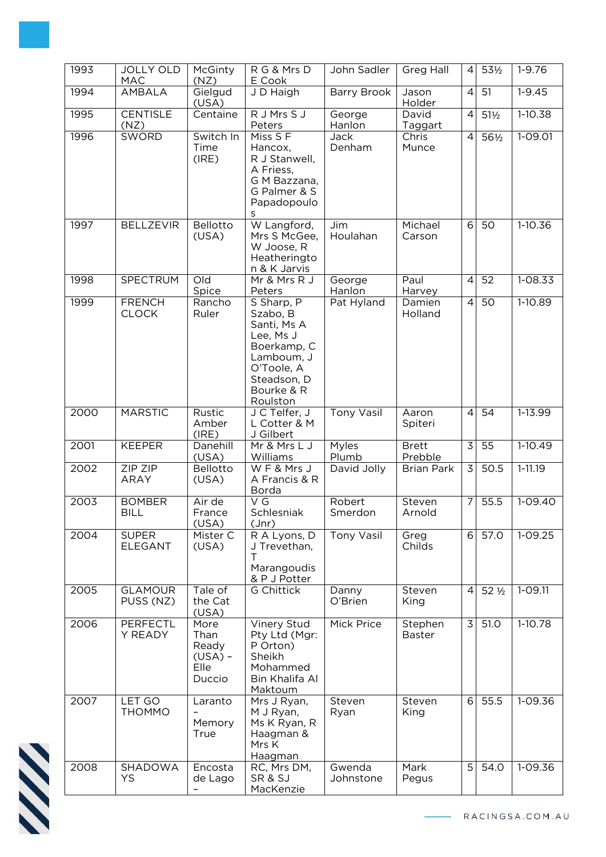| 1993 | <b>JOLLY OLD</b><br>MAC        | McGinty<br>(NZ)                                      | RG & Mrs D<br>E Cook                                                                                                                   | John Sadler         | <b>Greg Hall</b>         | $\vert$        | 53½             | $1 - 9.76$  |
|------|--------------------------------|------------------------------------------------------|----------------------------------------------------------------------------------------------------------------------------------------|---------------------|--------------------------|----------------|-----------------|-------------|
| 1994 | <b>AMBALA</b>                  | Gielgud<br>(USA)                                     | J D Haigh                                                                                                                              | <b>Barry Brook</b>  | Jason<br>Holder          | $\overline{4}$ | 51              | $1 - 9.45$  |
| 1995 | <b>CENTISLE</b><br>(NZ)        | Centaine                                             | R J Mrs S J<br>Peters                                                                                                                  | George<br>Hanlon    | David<br>Taggart         | $\overline{4}$ | $51\frac{1}{2}$ | 1-10.38     |
| 1996 | <b>SWORD</b>                   | Switch In<br>Time<br>(IRE)                           | Miss S F<br>Hancox,<br>R J Stanwell,<br>A Friess,<br>G M Bazzana,<br>G Palmer & S<br>Papadopoulo<br>s                                  | Jack<br>Denham      | Chris<br>Munce           | $\overline{4}$ | 561/2           | 1-09.01     |
| 1997 | <b>BELLZEVIR</b>               | Bellotto<br>(USA)                                    | W Langford,<br>Mrs S McGee,<br>W Joose, R<br>Heatheringto<br>n & K Jarvis                                                              | Jim<br>Houlahan     | Michael<br>Carson        | 6              | 50              | 1-10.36     |
| 1998 | <b>SPECTRUM</b>                | $\overline{Old}$<br>Spice                            | Mr & Mrs R J<br>Peters                                                                                                                 | George<br>Hanlon    | Paul<br>Harvey           | $\overline{4}$ | 52              | $1 - 08.33$ |
| 1999 | <b>FRENCH</b><br><b>CLOCK</b>  | Rancho<br>Ruler                                      | S Sharp, P<br>Szabo, B<br>Santi, Ms A<br>Lee, Ms J<br>Boerkamp, C<br>Lamboum, J<br>O'Toole, A<br>Steadson, D<br>Bourke & R<br>Roulston | Pat Hyland          | Damien<br>Holland        | $\overline{4}$ | 50              | $1-10.89$   |
| 2000 | <b>MARSTIC</b>                 | Rustic<br>Amber<br>(IRE)                             | J C Telfer, J<br>L Cotter & M<br>J Gilbert                                                                                             | <b>Tony Vasil</b>   | Aaron<br>Spiteri         | $\vert$        | 54              | 1-13.99     |
| 2001 | <b>KEEPER</b>                  | Danehill<br>(USA)                                    | Mr & Mrs L J<br>Williams                                                                                                               | Myles<br>Plumb      | <b>Brett</b><br>Prebble  | $\overline{3}$ | $\overline{55}$ | $1-10.49$   |
| 2002 | ZIP ZIP<br><b>ARAY</b>         | Bellotto<br>(USA)                                    | WF&MrsJ<br>A Francis & R<br>Borda                                                                                                      | David Jolly         | <b>Brian Park</b>        | 3              | 50.5            | $1 - 11.19$ |
| 2003 | <b>BOMBER</b><br><b>BILL</b>   | Air de<br>France<br>(USA)                            | $\overline{G}$<br>Schlesniak<br>(Jnr)                                                                                                  | Robert<br>Smerdon   | Steven<br>Arnold         | $\overline{7}$ | 55.5            | $1-09.40$   |
| 2004 | <b>SUPER</b><br><b>ELEGANT</b> | Mister C<br>(USA)                                    | R A Lyons, D<br>J Trevethan,<br>т<br>Marangoudis<br>& P J Potter                                                                       | <b>Tony Vasil</b>   | Greg<br>Childs           | $6 \mid$       | 57.0            | $1-09.25$   |
| 2005 | <b>GLAMOUR</b><br>PUSS (NZ)    | Tale of<br>the Cat<br>(USA)                          | <b>G Chittick</b>                                                                                                                      | Danny<br>O'Brien    | Steven<br>King           | $\vert$        | 52 1/2          | $1 - 09.11$ |
| 2006 | <b>PERFECTL</b><br>Y READY     | More<br>Than<br>Ready<br>$(USA) -$<br>Elle<br>Duccio | <b>Vinery Stud</b><br>Pty Ltd (Mgr:<br>P Orton)<br>Sheikh<br>Mohammed<br>Bin Khalifa Al<br>Maktoum                                     | Mick Price          | Stephen<br><b>Baster</b> | $\overline{3}$ | 51.0            | $1-10.78$   |
| 2007 | <b>LET GO</b><br><b>THOMMO</b> | Laranto<br>Memory<br>True                            | Mrs J Ryan,<br>M J Ryan,<br>Ms K Ryan, R<br>Haagman &<br>Mrs K<br>Haagman                                                              | Steven<br>Ryan      | Steven<br>King           | 6              | 55.5            | 1-09.36     |
| 2008 | SHADOWA<br>YS                  | Encosta<br>de Lago                                   | RC, Mrs DM,<br>SR & SJ<br>MacKenzie                                                                                                    | Gwenda<br>Johnstone | Mark<br>Pegus            | 5              | 54.0            | 1-09.36     |

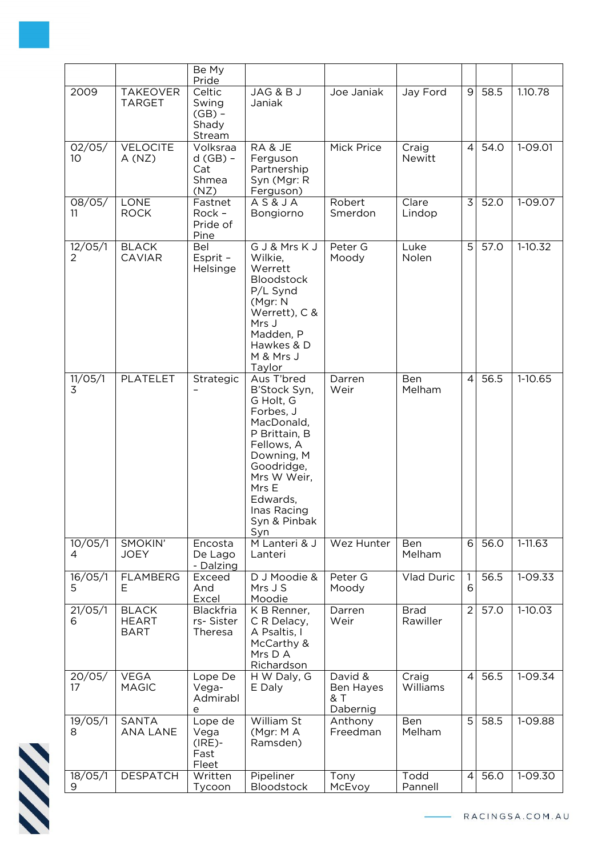|              |                                             | Be My<br>Pride                                 |                                                                                                                                                                                                         |                                         |                         |                     |      |             |
|--------------|---------------------------------------------|------------------------------------------------|---------------------------------------------------------------------------------------------------------------------------------------------------------------------------------------------------------|-----------------------------------------|-------------------------|---------------------|------|-------------|
| 2009         | <b>TAKEOVER</b><br><b>TARGET</b>            | Celtic<br>Swing<br>$(GB)$ -<br>Shady<br>Stream | JAG & BJ<br>Janiak                                                                                                                                                                                      | Joe Janiak                              | Jay Ford                | $\overline{9}$      | 58.5 | 1.10.78     |
| 02/05/<br>10 | <b>VELOCITE</b><br>A(NZ)                    | Volksraa<br>$d(GB) -$<br>Cat<br>Shmea<br>(NZ)  | RA & JE<br>Ferguson<br>Partnership<br>Syn (Mgr: R<br>Ferguson)                                                                                                                                          | Mick Price                              | Craig<br>Newitt         | 4                   | 54.0 | 1-09.01     |
| 08/05/<br>11 | LONE<br><b>ROCK</b>                         | Fastnet<br>Rock -<br>Pride of<br>Pine          | <b>AS&amp;JA</b><br>Bongiorno                                                                                                                                                                           | Robert<br>Smerdon                       | Clare<br>Lindop         | 3                   | 52.0 | 1-09.07     |
| 12/05/1<br>2 | <b>BLACK</b><br><b>CAVIAR</b>               | Bel<br>Esprit -<br>Helsinge                    | G J & Mrs K J<br>Wilkie,<br>Werrett<br><b>Bloodstock</b><br>P/L Synd<br>(Mgr: N<br>Werrett), C &<br>Mrs J<br>Madden, P<br>Hawkes & D<br>M & Mrs J<br>Taylor                                             | Peter G<br>Moody                        | Luke<br>Nolen           | 5 <sup>1</sup>      | 57.0 | $1-10.32$   |
| 11/05/1<br>3 | <b>PLATELET</b>                             | Strategic                                      | Aus T'bred<br>B'Stock Syn,<br>G Holt, G<br>Forbes, J<br>MacDonald,<br>P Brittain, B<br>Fellows, A<br>Downing, M<br>Goodridge,<br>Mrs W Weir,<br>Mrs E<br>Edwards,<br>Inas Racing<br>Syn & Pinbak<br>Syn | Darren<br>Weir                          | Ben<br>Melham           | $\overline{4}$      | 56.5 | $1-10.65$   |
| 10/05/1<br>4 | SMOKIN'<br><b>JOEY</b>                      | Encosta<br>De Lago<br>- Dalzing                | M Lanteri & J<br>Lanteri                                                                                                                                                                                | Wez Hunter                              | Ben<br>Melham           | 6                   | 56.0 | $1 - 11.63$ |
| 16/05/1<br>5 | <b>FLAMBERG</b><br>E.                       | Exceed<br>And<br>Excel                         | D J Moodie &<br>Mrs J S<br>Moodie                                                                                                                                                                       | Peter G<br>Moody                        | Vlad Duric              | $\overline{1}$<br>6 | 56.5 | 1-09.33     |
| 21/05/1<br>6 | <b>BLACK</b><br><b>HEART</b><br><b>BART</b> | Blackfria<br>rs-Sister<br>Theresa              | K B Renner,<br>C R Delacy,<br>A Psaltis, I<br>McCarthy &<br>Mrs D A<br>Richardson                                                                                                                       | Darren<br>Weir                          | <b>Brad</b><br>Rawiller | $\overline{2}$      | 57.0 | $1-10.03$   |
| 20/05/<br>17 | <b>VEGA</b><br><b>MAGIC</b>                 | Lope De<br>Vega-<br>Admirabl<br>e              | H W Daly, G<br>E Daly                                                                                                                                                                                   | David &<br>Ben Hayes<br>& T<br>Dabernig | Craig<br>Williams       | $\overline{4}$      | 56.5 | 1-09.34     |
| 19/05/1<br>8 | <b>SANTA</b><br>ANA LANE                    | Lope de<br>Vega<br>$(IRE)$ -<br>Fast<br>Fleet  | William St<br>(Mgr: MA<br>Ramsden)                                                                                                                                                                      | Anthony<br>Freedman                     | Ben<br>Melham           | $\overline{5}$      | 58.5 | 1-09.88     |
| 18/05/1<br>9 | <b>DESPATCH</b>                             | Written<br>Tycoon                              | Pipeliner<br><b>Bloodstock</b>                                                                                                                                                                          | Tony<br>McEvoy                          | Todd<br>Pannell         | 4                   | 56.0 | 1-09.30     |